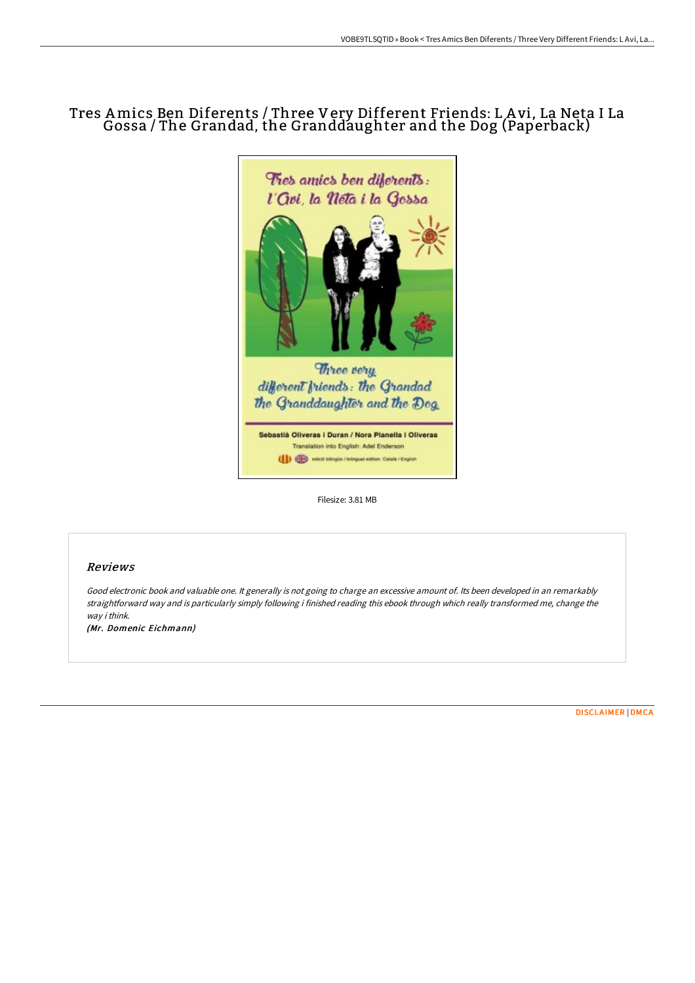# Tres Amics Ben Diferents / Three Very Different Friends: L A vi, La Neta I La Gossa / The Grandad, the Granddaughter and the Dog (Paperback)



Filesize: 3.81 MB

## Reviews

Good electronic book and valuable one. It generally is not going to charge an excessive amount of. Its been developed in an remarkably straightforward way and is particularly simply following i finished reading this ebook through which really transformed me, change the way i think.

(Mr. Domenic Eichmann)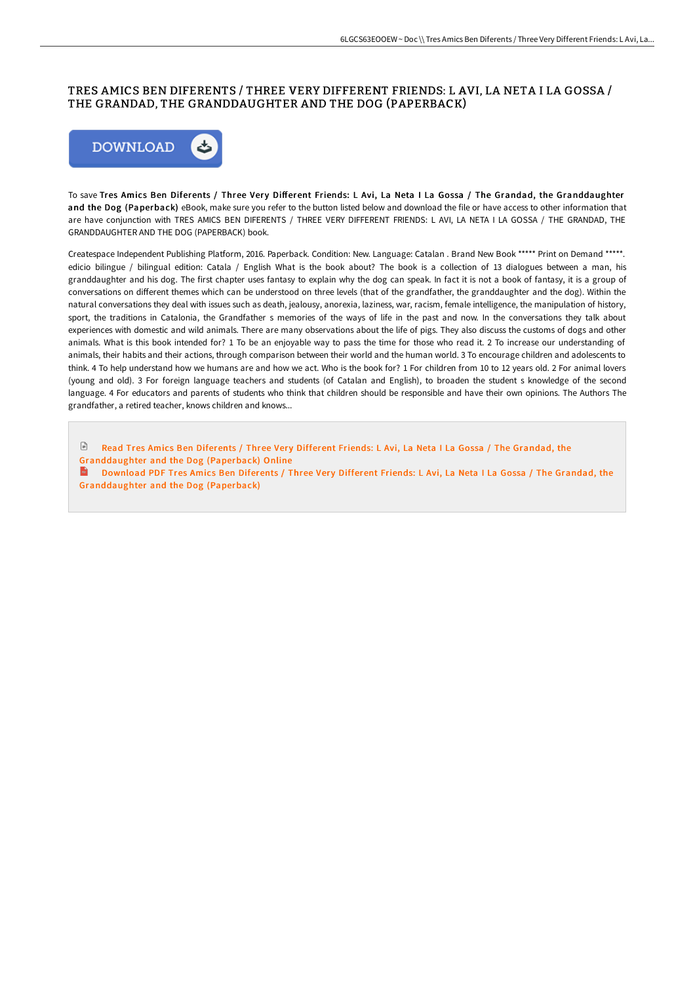### TRES AMICS BEN DIFERENTS / THREE VERY DIFFERENT FRIENDS: L AVI, LA NETA I LA GOSSA / THE GRANDAD, THE GRANDDAUGHTER AND THE DOG (PAPERBACK)



To save Tres Amics Ben Diferents / Three Very Different Friends: L Avi, La Neta I La Gossa / The Grandad, the Granddaughter and the Dog (Paperback) eBook, make sure you refer to the button listed below and download the file or have access to other information that are have conjunction with TRES AMICS BEN DIFERENTS / THREE VERY DIFFERENT FRIENDS: L AVI, LA NETA I LA GOSSA / THE GRANDAD, THE GRANDDAUGHTER AND THE DOG (PAPERBACK) book.

Createspace Independent Publishing Platform, 2016. Paperback. Condition: New. Language: Catalan . Brand New Book \*\*\*\*\* Print on Demand \*\*\*\*\*. edicio bilingue / bilingual edition: Catala / English What is the book about? The book is a collection of 13 dialogues between a man, his granddaughter and his dog. The first chapter uses fantasy to explain why the dog can speak. In fact it is not a book of fantasy, it is a group of conversations on different themes which can be understood on three levels (that of the grandfather, the granddaughter and the dog). Within the natural conversations they deal with issues such as death, jealousy, anorexia, laziness, war, racism, female intelligence, the manipulation of history, sport, the traditions in Catalonia, the Grandfather s memories of the ways of life in the past and now. In the conversations they talk about experiences with domestic and wild animals. There are many observations about the life of pigs. They also discuss the customs of dogs and other animals. What is this book intended for? 1 To be an enjoyable way to pass the time for those who read it. 2 To increase our understanding of animals, their habits and their actions, through comparison between their world and the human world. 3 To encourage children and adolescents to think. 4 To help understand how we humans are and how we act. Who is the book for? 1 For children from 10 to 12 years old. 2 For animal lovers (young and old). 3 For foreign language teachers and students (of Catalan and English), to broaden the student s knowledge of the second language. 4 For educators and parents of students who think that children should be responsible and have their own opinions. The Authors The grandfather, a retired teacher, knows children and knows...

**■** Read Tres Amics Ben Diferents / Three Very Different Friends: L Avi, La Neta I La Gossa / The Grandad, the [Granddaughter](http://techno-pub.tech/tres-amics-ben-diferents-x2f-three-very-differen.html) and the Dog (Paperback) Online Download PDF Tres Amics Ben Diferents / Three Very Different Friends: L Avi, La Neta I La Gossa / The Grandad, the [Granddaughter](http://techno-pub.tech/tres-amics-ben-diferents-x2f-three-very-differen.html) and the Dog (Paperback)